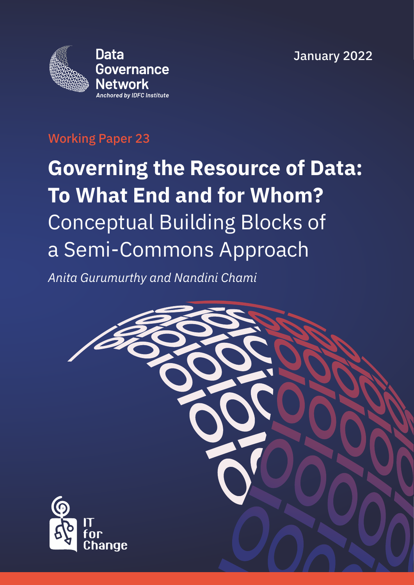January 2022



## Working Paper 23

# **Governing the Resource of Data: To What End and for Whom?** Conceptual Building Blocks of a Semi-Commons Approach

*Anita Gurumurthy and Nandini Chami*

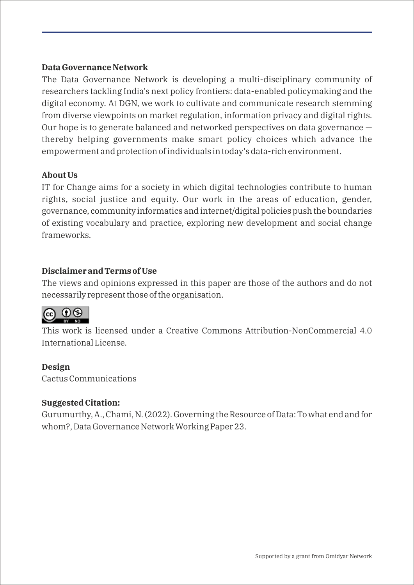### **Data Governance Network**

The Data Governance Network is developing a multi-disciplinary community of researchers tackling India's next policy frontiers: data-enabled policymaking and the digital economy. At DGN, we work to cultivate and communicate research stemming from diverse viewpoints on market regulation, information privacy and digital rights. Our hope is to generate balanced and networked perspectives on data governance thereby helping governments make smart policy choices which advance the empowerment and protection of individuals in today's data-rich environment.

### **About Us**

IT for Change aims for a society in which digital technologies contribute to human rights, social justice and equity. Our work in the areas of education, gender, governance, community informatics and internet/digital policies push the boundaries of existing vocabulary and practice, exploring new development and social change frameworks.

### **Disclaimer and Terms of Use**

The views and opinions expressed in this paper are those of the authors and do not necessarily represent those of the organisation.



This work is licensed under a Creative Commons Attribution-NonCommercial 4.0 International License.

### **Design**

Cactus Communications

### **Suggested Citation:**

Gurumurthy, A., Chami, N. (2022). Governing the Resource of Data: To what end and for whom?, Data Governance Network Working Paper 23.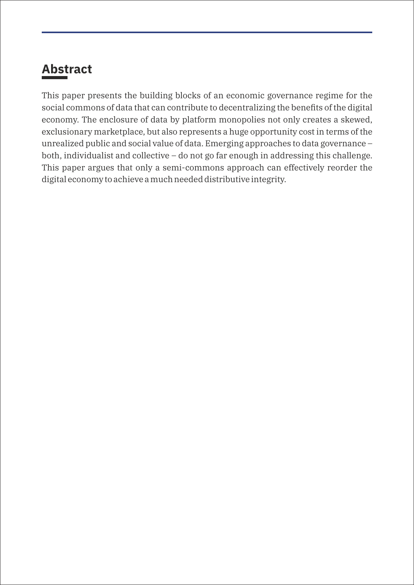## **Abstract**

This paper presents the building blocks of an economic governance regime for the social commons of data that can contribute to decentralizing the benefits of the digital economy. The enclosure of data by platform monopolies not only creates a skewed, exclusionary marketplace, but also represents a huge opportunity cost in terms of the unrealized public and social value of data. Emerging approaches to data governance – both, individualist and collective – do not go far enough in addressing this challenge. This paper argues that only a semi-commons approach can effectively reorder the digital economy to achieve a much needed distributive integrity.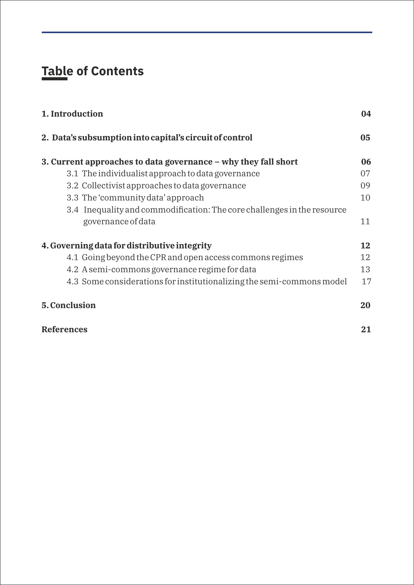## **Table of Contents**

| 04 |
|----|
| 05 |
| 06 |
| 07 |
| 09 |
| 10 |
|    |
| 11 |
| 12 |
| 12 |
| 13 |
| 17 |
| 20 |
| 21 |
|    |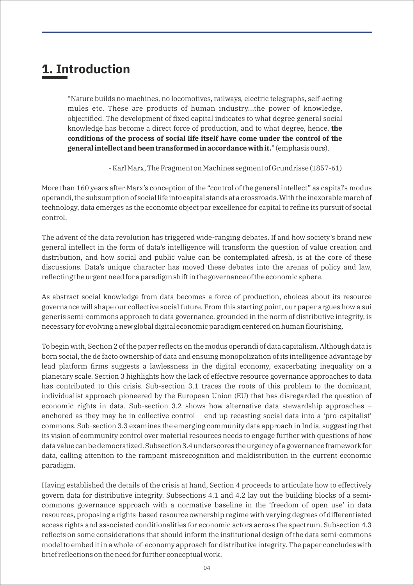## **1. Introduction**

"Nature builds no machines, no locomotives, railways, electric telegraphs, self-acting mules etc. These are products of human industry...the power of knowledge, objectified. The development of fixed capital indicates to what degree general social knowledge has become a direct force of production, and to what degree, hence, **the conditions of the process of social life itself have come under the control of the general intellect and been transformed in accordance with it.**" (emphasis ours).

- Karl Marx, The Fragment on Machines segment of Grundrisse (1857-61)

More than 160 years after Marx's conception of the "control of the general intellect" as capital's modus operandi, the subsumption of social life into capital stands at a crossroads. With the inexorable march of technology, data emerges as the economic object par excellence for capital to refine its pursuit of social control.

The advent of the data revolution has triggered wide-ranging debates. If and how society's brand new general intellect in the form of data's intelligence will transform the question of value creation and distribution, and how social and public value can be contemplated afresh, is at the core of these discussions. Data's unique character has moved these debates into the arenas of policy and law, reflecting the urgent need for a paradigm shift in the governance of the economic sphere.

As abstract social knowledge from data becomes a force of production, choices about its resource governance will shape our collective social future. From this starting point, our paper argues how a sui generis semi-commons approach to data governance, grounded in the norm of distributive integrity, is necessary for evolving a new global digital economic paradigm centered on human flourishing.

To begin with, Section 2 of the paper reflects on the modus operandi of data capitalism. Although data is born social, the de facto ownership of data and ensuing monopolization of its intelligence advantage by lead platform firms suggests a lawlessness in the digital economy, exacerbating inequality on a planetary scale. Section 3 highlights how the lack of effective resource governance approaches to data has contributed to this crisis. Sub-section 3.1 traces the roots of this problem to the dominant, individualist approach pioneered by the European Union (EU) that has disregarded the question of economic rights in data. Sub-section 3.2 shows how alternative data stewardship approaches – anchored as they may be in collective control – end up recasting social data into a 'pro-capitalist' commons. Sub-section 3.3 examines the emerging community data approach in India, suggesting that its vision of community control over material resources needs to engage further with questions of how data value can be democratized. Subsection 3.4 underscores the urgency of a governance framework for data, calling attention to the rampant misrecognition and maldistribution in the current economic paradigm.

Having established the details of the crisis at hand, Section 4 proceeds to articulate how to effectively govern data for distributive integrity. Subsections 4.1 and 4.2 lay out the building blocks of a semicommons governance approach with a normative baseline in the 'freedom of open use' in data resources, proposing a rights-based resource ownership regime with varying degrees of differentiated access rights and associated conditionalities for economic actors across the spectrum. Subsection 4.3 reflects on some considerations that should inform the institutional design of the data semi-commons model to embed it in a whole-of-economy approach for distributive integrity. The paper concludes with brief reflections on the need for further conceptual work.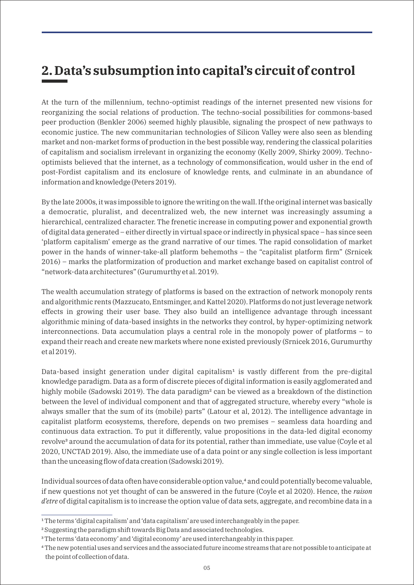## **2. Data's subsumption into capital's circuit of control**

At the turn of the millennium, techno-optimist readings of the internet presented new visions for reorganizing the social relations of production. The techno-social possibilities for commons-based peer production (Benkler 2006) seemed highly plausible, signaling the prospect of new pathways to economic justice. The new communitarian technologies of Silicon Valley were also seen as blending market and non-market forms of production in the best possible way, rendering the classical polarities of capitalism and socialism irrelevant in organizing the economy (Kelly 2009, Shirky 2009). Technooptimists believed that the internet, as a technology of commonsification, would usher in the end of post-Fordist capitalism and its enclosure of knowledge rents, and culminate in an abundance of information and knowledge (Peters 2019).

By the late 2000s, it was impossible to ignore the writing on the wall. If the original internet was basically a democratic, pluralist, and decentralized web, the new internet was increasingly assuming a hierarchical, centralized character. The frenetic increase in computing power and exponential growth of digital data generated – either directly in virtual space or indirectly in physical space – has since seen 'platform capitalism' emerge as the grand narrative of our times. The rapid consolidation of market power in the hands of winner-take-all platform behemoths – the "capitalist platform firm" (Srnicek 2016) – marks the platformization of production and market exchange based on capitalist control of "network-data architectures" (Gurumurthy et al. 2019).

The wealth accumulation strategy of platforms is based on the extraction of network monopoly rents and algorithmic rents (Mazzucato, Entsminger, and Kattel 2020). Platforms do not just leverage network effects in growing their user base. They also build an intelligence advantage through incessant algorithmic mining of data-based insights in the networks they control, by hyper-optimizing network interconnections. Data accumulation plays a central role in the monopoly power of platforms – to expand their reach and create new markets where none existed previously (Srnicek 2016, Gurumurthy et al 2019).

Data-based insight generation under digital capitalism<sup>1</sup> is vastly different from the pre-digital knowledge paradigm. Data as a form of discrete pieces of digital information is easily agglomerated and highly mobile (Sadowski 2019). The data paradigm<sup>2</sup> can be viewed as a breakdown of the distinction between the level of individual component and that of aggregated structure, whereby every "whole is always smaller that the sum of its (mobile) parts" (Latour et al, 2012). The intelligence advantage in capitalist platform ecosystems, therefore, depends on two premises – seamless data hoarding and continuous data extraction. To put it differently, value propositions in the data-led digital economy revolve<sup>3</sup> around the accumulation of data for its potential, rather than immediate, use value (Coyle et al 2020, UNCTAD 2019). Also, the immediate use of a data point or any single collection is less important than the unceasing flow of data creation (Sadowski 2019).

Individual sources of data often have considerable option value,<sup>4</sup> and could potentially become valuable, if new questions not yet thought of can be answered in the future (Coyle et al 2020). Hence, the *raison d'etre* of digital capitalism is to increase the option value of data sets, aggregate, and recombine data in a

<sup>&</sup>lt;sup>1</sup>The terms 'digital capitalism' and 'data capitalism' are used interchangeably in the paper.

² Suggesting the paradigm shift towards Big Data and associated technologies.

³ The terms 'data economy' and 'digital economy' are used interchangeably in this paper.

⁴ The new potential uses and services and the associated future income streams that are not possible to anticipate at the point of collection of data.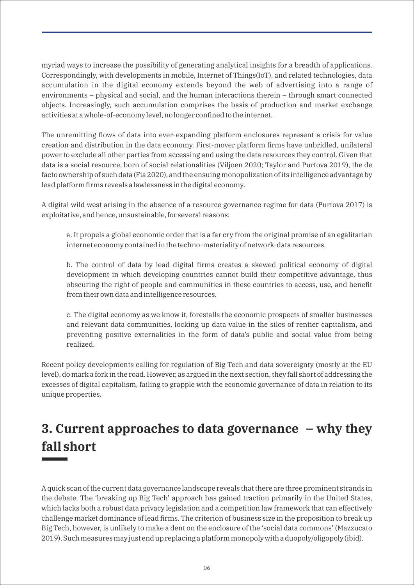myriad ways to increase the possibility of generating analytical insights for a breadth of applications. Correspondingly, with developments in mobile, Internet of Things(IoT), and related technologies, data accumulation in the digital economy extends beyond the web of advertising into a range of environments – physical and social, and the human interactions therein – through smart connected objects. Increasingly, such accumulation comprises the basis of production and market exchange activities at a whole-of-economy level, no longer confined to the internet.

The unremitting flows of data into ever-expanding platform enclosures represent a crisis for value creation and distribution in the data economy. First-mover platform firms have unbridled, unilateral power to exclude all other parties from accessing and using the data resources they control. Given that data is a social resource, born of social relationalities (Viljoen 2020; Taylor and Purtova 2019), the de facto ownership of such data (Fia 2020), and the ensuing monopolization of its intelligence advantage by lead platform firms reveals a lawlessness in the digital economy.

A digital wild west arising in the absence of a resource governance regime for data (Purtova 2017) is exploitative, and hence, unsustainable, for several reasons:

a. It propels a global economic order that is a far cry from the original promise of an egalitarian internet economy contained in the techno-materiality of network-data resources.

b. The control of data by lead digital firms creates a skewed political economy of digital development in which developing countries cannot build their competitive advantage, thus obscuring the right of people and communities in these countries to access, use, and benefit from their own data and intelligence resources.

c. The digital economy as we know it, forestalls the economic prospects of smaller businesses and relevant data communities, locking up data value in the silos of rentier capitalism, and preventing positive externalities in the form of data's public and social value from being realized.

Recent policy developments calling for regulation of Big Tech and data sovereignty (mostly at the EU level), do mark a fork in the road. However, as argued in the next section, they fall short of addressing the excesses of digital capitalism, failing to grapple with the economic governance of data in relation to its unique properties.

## **3. Current approaches to data governance – why they fall short**

A quick scan of the current data governance landscape reveals that there are three prominent strands in the debate. The 'breaking up Big Tech' approach has gained traction primarily in the United States, which lacks both a robust data privacy legislation and a competition law framework that can effectively challenge market dominance of lead firms. The criterion of business size in the proposition to break up Big Tech, however, is unlikely to make a dent on the enclosure of the 'social data commons' (Mazzucato 2019). Such measures may just end up replacing a platform monopoly with a duopoly/oligopoly (ibid).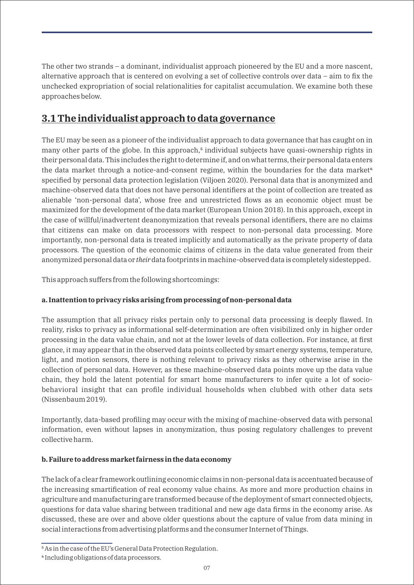The other two strands – a dominant, individualist approach pioneered by the EU and a more nascent, alternative approach that is centered on evolving a set of collective controls over data – aim to fix the unchecked expropriation of social relationalities for capitalist accumulation. We examine both these approaches below.

### **3.1 The individualist approach to data governance**

The EU may be seen as a pioneer of the individualist approach to data governance that has caught on in many other parts of the globe. In this approach,<sup>5</sup> individual subjects have quasi-ownership rights in their personal data. This includes the right to determine if, and on what terms, their personal data enters the data market through a notice-and-consent regime, within the boundaries for the data market<sup>6</sup> specified by personal data protection legislation (Viljoen 2020). Personal data that is anonymized and machine-observed data that does not have personal identifiers at the point of collection are treated as alienable 'non-personal data', whose free and unrestricted flows as an economic object must be maximized for the development of the data market (European Union 2018). In this approach, except in the case of willful/inadvertent deanonymization that reveals personal identifiers, there are no claims that citizens can make on data processors with respect to non-personal data processing. More importantly, non-personal data is treated implicitly and automatically as the private property of data processors. The question of the economic claims of citizens in the data value generated from their anonymized personal data or *their* data footprints in machine-observed data is completely sidestepped.

This approach suffers from the following shortcomings:

#### **a. Inattention to privacy risks arising from processing of non-personal data**

The assumption that all privacy risks pertain only to personal data processing is deeply flawed. In reality, risks to privacy as informational self-determination are often visibilized only in higher order processing in the data value chain, and not at the lower levels of data collection. For instance, at first glance, it may appear that in the observed data points collected by smart energy systems, temperature, light, and motion sensors, there is nothing relevant to privacy risks as they otherwise arise in the collection of personal data. However, as these machine-observed data points move up the data value chain, they hold the latent potential for smart home manufacturers to infer quite a lot of sociobehavioral insight that can profile individual households when clubbed with other data sets (Nissenbaum 2019).

Importantly, data-based profiling may occur with the mixing of machine-observed data with personal information, even without lapses in anonymization, thus posing regulatory challenges to prevent collective harm.

#### **b. Failure to address market fairness in the data economy**

The lack of a clear framework outlining economic claims in non-personal data is accentuated because of the increasing smartification of real economy value chains. As more and more production chains in agriculture and manufacturing are transformed because of the deployment of smart connected objects, questions for data value sharing between traditional and new age data firms in the economy arise. As discussed, these are over and above older questions about the capture of value from data mining in social interactions from advertising platforms and the consumer Internet of Things.

⁵ As in the case of the EU's General Data Protection Regulation.

⁶ Including obligations of data processors.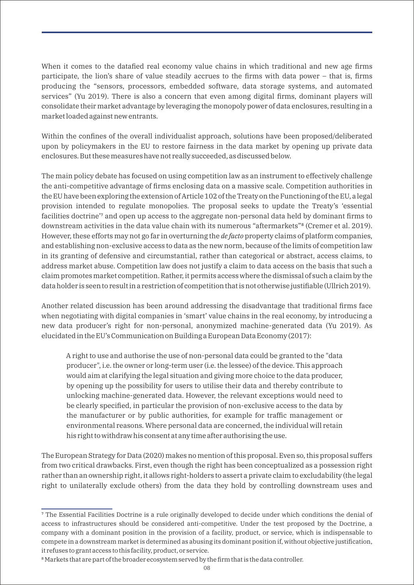When it comes to the datafied real economy value chains in which traditional and new age firms participate, the lion's share of value steadily accrues to the firms with data power – that is, firms producing the "sensors, processors, embedded software, data storage systems, and automated services" (Yu 2019). There is also a concern that even among digital firms, dominant players will consolidate their market advantage by leveraging the monopoly power of data enclosures, resulting in a market loaded against new entrants.

Within the confines of the overall individualist approach, solutions have been proposed/deliberated upon by policymakers in the EU to restore fairness in the data market by opening up private data enclosures. But these measures have not really succeeded, as discussed below.

The main policy debate has focused on using competition law as an instrument to effectively challenge the anti-competitive advantage of firms enclosing data on a massive scale. Competition authorities in the EU have been exploring the extension of Article 102 of the Treaty on the Functioning of the EU, a legal provision intended to regulate monopolies. The proposal seeks to update the Treaty's 'essential facilities doctrine'<sup>7</sup> and open up access to the aggregate non-personal data held by dominant firms to downstream activities in the data value chain with its numerous "aftermarkets"<sup>8</sup> (Cremer et al. 2019). However, these efforts may not go far in overturning the *de facto* property claims of platform companies, and establishing non-exclusive access to data as the new norm, because of the limits of competition law in its granting of defensive and circumstantial, rather than categorical or abstract, access claims, to address market abuse. Competition law does not justify a claim to data access on the basis that such a claim promotes market competition. Rather, it permits access where the dismissal of such a claim by the data holder is seen to result in a restriction of competition that is not otherwise justifiable (Ullrich 2019).

Another related discussion has been around addressing the disadvantage that traditional firms face when negotiating with digital companies in 'smart' value chains in the real economy, by introducing a new data producer's right for non-personal, anonymized machine-generated data (Yu 2019). As elucidated in the EU's Communication on Building a European Data Economy (2017):

A right to use and authorise the use of non-personal data could be granted to the "data producer", i.e. the owner or long-term user (i.e. the lessee) of the device. This approach would aim at clarifying the legal situation and giving more choice to the data producer, by opening up the possibility for users to utilise their data and thereby contribute to unlocking machine-generated data. However, the relevant exceptions would need to be clearly specified, in particular the provision of non-exclusive access to the data by the manufacturer or by public authorities, for example for traffic management or environmental reasons. Where personal data are concerned, the individual will retain his right to withdraw his consent at any time after authorising the use.

The European Strategy for Data (2020) makes no mention of this proposal. Even so, this proposal suffers from two critical drawbacks. First, even though the right has been conceptualized as a possession right rather than an ownership right, it allows right-holders to assert a private claim to excludability (the legal right to unilaterally exclude others) from the data they hold by controlling downstream uses and

⁷ The Essential Facilities Doctrine is a rule originally developed to decide under which conditions the denial of access to infrastructures should be considered anti-competitive. Under the test proposed by the Doctrine, a company with a dominant position in the provision of a facility, product, or service, which is indispensable to compete in a downstream market is determined as abusing its dominant position if, without objective justification, it refuses to grant access to this facility, product, or service.

<sup>&</sup>lt;sup>8</sup> Markets that are part of the broader ecosystem served by the firm that is the data controller.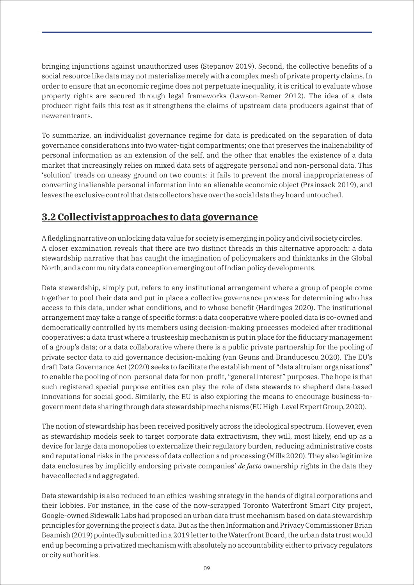bringing injunctions against unauthorized uses (Stepanov 2019). Second, the collective benefits of a social resource like data may not materialize merely with a complex mesh of private property claims. In order to ensure that an economic regime does not perpetuate inequality, it is critical to evaluate whose property rights are secured through legal frameworks (Lawson-Remer 2012). The idea of a data producer right fails this test as it strengthens the claims of upstream data producers against that of newer entrants.

To summarize, an individualist governance regime for data is predicated on the separation of data governance considerations into two water-tight compartments; one that preserves the inalienability of personal information as an extension of the self, and the other that enables the existence of a data market that increasingly relies on mixed data sets of aggregate personal and non-personal data. This 'solution' treads on uneasy ground on two counts: it fails to prevent the moral inappropriateness of converting inalienable personal information into an alienable economic object (Prainsack 2019), and leaves the exclusive control that data collectors have over the social data they hoard untouched.

### **3.2 Collectivist approaches to data governance**

A fledgling narrative on unlocking data value for society is emerging in policy and civil society circles. A closer examination reveals that there are two distinct threads in this alternative approach: a data stewardship narrative that has caught the imagination of policymakers and thinktanks in the Global North, and a community data conception emerging out of Indian policy developments.

Data stewardship, simply put, refers to any institutional arrangement where a group of people come together to pool their data and put in place a collective governance process for determining who has access to this data, under what conditions, and to whose benefit (Hardinges 2020). The institutional arrangement may take a range of specific forms: a data cooperative where pooled data is co-owned and democratically controlled by its members using decision-making processes modeled after traditional cooperatives; a data trust where a trusteeship mechanism is put in place for the fiduciary management of a group's data; or a data collaborative where there is a public private partnership for the pooling of private sector data to aid governance decision-making (van Geuns and Branducescu 2020). The EU's draft Data Governance Act (2020) seeks to facilitate the establishment of "data altruism organisations" to enable the pooling of non-personal data for non-profit, "general interest" purposes. The hope is that such registered special purpose entities can play the role of data stewards to shepherd data-based innovations for social good. Similarly, the EU is also exploring the means to encourage business-togovernment data sharing through data stewardship mechanisms (EU High-Level Expert Group, 2020).

The notion of stewardship has been received positively across the ideological spectrum. However, even as stewardship models seek to target corporate data extractivism, they will, most likely, end up as a device for large data monopolies to externalize their regulatory burden, reducing administrative costs and reputational risks in the process of data collection and processing (Mills 2020). They also legitimize data enclosures by implicitly endorsing private companies' *de facto* ownership rights in the data they have collected and aggregated.

Data stewardship is also reduced to an ethics-washing strategy in the hands of digital corporations and their lobbies. For instance, in the case of the now-scrapped Toronto Waterfront Smart City project, Google-owned Sidewalk Labs had proposed an urban data trust mechanism based on data stewardship principles for governing the project's data. But as the then Information and Privacy Commissioner Brian Beamish (2019) pointedly submitted in a 2019 letter to the Waterfront Board, the urban data trust would end up becoming a privatized mechanism with absolutely no accountability either to privacy regulators or city authorities.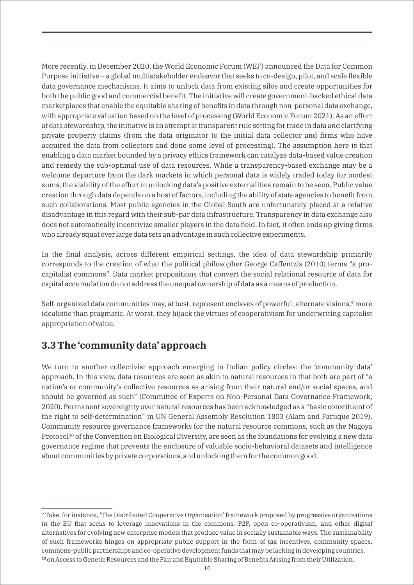More recently, in December 2020, the World Economic Forum (WEF) announced the Data for Common Purpose initiative – a global multistakeholder endeavor that seeks to co-design, pilot, and scale flexible data governance mechanisms. It aims to unlock data from existing silos and create opportunities for both the public good and commercial benefit. The initiative will create government-backed ethical data marketplaces that enable the equitable sharing of benefits in data through non-personal data exchange, with appropriate valuation based on the level of processing (World Economic Forum 2021). As an effort at data stewardship, the initiative is an attempt at transparent rule setting for trade in data and clarifying private property claims (from the data originator to the initial data collector and firms who have acquired the data from collectors and done some level of processing). The assumption here is that enabling a data market bounded by a privacy ethics framework can catalyze data-based value creation and remedy the sub-optimal use of data resources. While a transparency-based exchange may be a welcome departure from the dark markets in which personal data is widely traded today for modest sums, the viability of the effort in unlocking data's positive externalities remain to be seen. Public value creation through data depends on a host of factors, including the ability of state agencies to benefit from such collaborations. Most public agencies in the Global South are unfortunately placed at a relative disadvantage in this regard with their sub-par data infrastructure. Transparency in data exchange also does not automatically incentivize smaller players in the data field. In fact, it often ends up giving firms who already squat over large data sets an advantage in such collective experiments.

In the final analysis, across different empirical settings, the idea of data stewardship primarily corresponds to the creation of what the political philosopher George Caffentzis (2010) terms "a procapitalist commons". Data market propositions that convert the social relational resource of data for capital accumulation do not address the unequal ownership of data as a means of production.

Self-organized data communities may, at best, represent enclaves of powerful, alternate visions,<sup>9</sup> more idealistic than pragmatic. At worst, they hijack the virtues of cooperativism for underwriting capitalist appropriation of value.

### **3.3 The 'community data' approach**

We turn to another collectivist approach emerging in Indian policy circles: the 'community data' approach. In this view, data resources are seen as akin to natural resources in that both are part of "a nation's or community's collective resources as arising from their natural and/or social spaces, and should be governed as such" (Committee of Experts on Non-Personal Data Governance Framework, 2020). Permanent sovereignty over natural resources has been acknowledged as a "basic constituent of the right to self-determination" in UN General Assembly Resolution 1803 (Alam and Faruque 2019). Community resource governance frameworks for the natural resource commons, such as the Nagoya Protocol<sup>10</sup> of the Convention on Biological Diversity, are seen as the foundations for evolving a new data governance regime that prevents the enclosure of valuable socio-behavioral datasets and intelligence about communities by private corporations, and unlocking them for the common good.

⁹ Take, for instance, 'The Distributed Cooperative Organisation' framework proposed by progressive organizations in the EU that seeks to leverage innovations in the commons, P2P, open co-operativism, and other digital alternatives for evolving new enterprise models that produce value in socially sustainable ways. The sustainability of such frameworks hinges on appropriate public support in the form of tax incentives, community spaces, commons-public partnerships and co-operative development funds that may be lacking in developing countries. <sup>10</sup> on Access to Genetic Resources and the Fair and Equitable Sharing of Benefits Arising from their Utilization.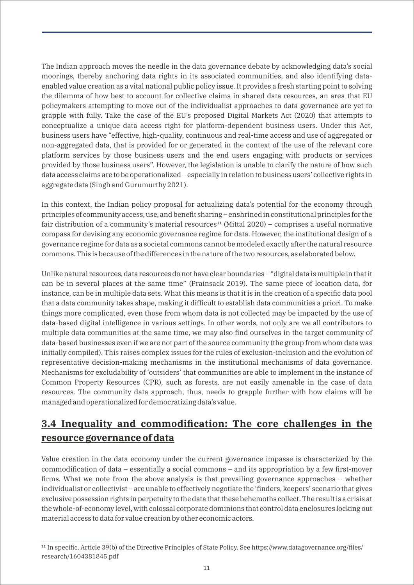The Indian approach moves the needle in the data governance debate by acknowledging data's social moorings, thereby anchoring data rights in its associated communities, and also identifying dataenabled value creation as a vital national public policy issue. It provides a fresh starting point to solving the dilemma of how best to account for collective claims in shared data resources, an area that EU policymakers attempting to move out of the individualist approaches to data governance are yet to grapple with fully. Take the case of the EU's proposed Digital Markets Act (2020) that attempts to conceptualize a unique data access right for platform-dependent business users. Under this Act, business users have "effective, high-quality, continuous and real-time access and use of aggregated or non-aggregated data, that is provided for or generated in the context of the use of the relevant core platform services by those business users and the end users engaging with products or services provided by those business users". However, the legislation is unable to clarify the nature of how such data access claims are to be operationalized – especially in relation to business users' collective rights in aggregate data (Singh and Gurumurthy 2021).

In this context, the Indian policy proposal for actualizing data's potential for the economy through principles of community access, use, and benefit sharing – enshrined in constitutional principles for the fair distribution of a community's material resources<sup>11</sup> (Mittal 2020) – comprises a useful normative compass for devising any economic governance regime for data. However, the institutional design of a governance regime for data as a societal commons cannot be modeled exactly after the natural resource commons. This is because of the differences in the nature of the two resources, as elaborated below.

Unlike natural resources, data resources do not have clear boundaries – "digital data is multiple in that it can be in several places at the same time" (Prainsack 2019). The same piece of location data, for instance, can be in multiple data sets. What this means is that it is in the creation of a specific data pool that a data community takes shape, making it difficult to establish data communities a priori. To make things more complicated, even those from whom data is not collected may be impacted by the use of data-based digital intelligence in various settings. In other words, not only are we all contributors to multiple data communities at the same time, we may also find ourselves in the target community of data-based businesses even if we are not part of the source community (the group from whom data was initially compiled). This raises complex issues for the rules of exclusion-inclusion and the evolution of representative decision-making mechanisms in the institutional mechanisms of data governance. Mechanisms for excludability of 'outsiders' that communities are able to implement in the instance of Common Property Resources (CPR), such as forests, are not easily amenable in the case of data resources. The community data approach, thus, needs to grapple further with how claims will be managed and operationalized for democratizing data's value.

## **3.4 Inequality and commodification: The core challenges in the resource governance of data**

Value creation in the data economy under the current governance impasse is characterized by the commodification of data – essentially a social commons – and its appropriation by a few first-mover firms. What we note from the above analysis is that prevailing governance approaches – whether individualist or collectivist – are unable to effectively negotiate the 'finders, keepers' scenario that gives exclusive possession rights in perpetuity to the data that these behemoths collect. The result is a crisis at the whole-of-economy level, with colossal corporate dominions that control data enclosures locking out material access to data for value creation by other economic actors.

<sup>&</sup>lt;sup>11</sup> In specific, Article 39(b) of the Directive Principles of State Policy. See https://www.datagovernance.org/files/ research/1604381845.pdf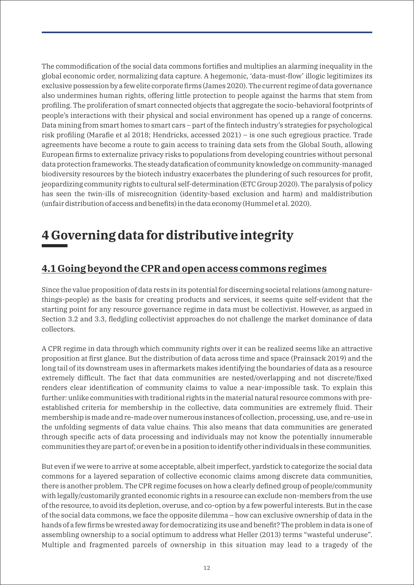The commodification of the social data commons fortifies and multiplies an alarming inequality in the global economic order, normalizing data capture. A hegemonic, 'data-must-flow' illogic legitimizes its exclusive possession by a few elite corporate firms (James 2020). The current regime of data governance also undermines human rights, offering little protection to people against the harms that stem from profiling. The proliferation of smart connected objects that aggregate the socio-behavioral footprints of people's interactions with their physical and social environment has opened up a range of concerns. Data mining from smart homes to smart cars – part of the fintech industry's strategies for psychological risk profiling (Marafie et al 2018; Hendricks, accessed 2021) – is one such egregious practice. Trade agreements have become a route to gain access to training data sets from the Global South, allowing European firms to externalize privacy risks to populations from developing countries without personal data protection frameworks. The steady datafication of community knowledge on community-managed biodiversity resources by the biotech industry exacerbates the plundering of such resources for profit, jeopardizing community rights to cultural self-determination (ETC Group 2020). The paralysis of policy has seen the twin-ills of misrecognition (identity-based exclusion and harm) and maldistribution (unfair distribution of access and benefits) in the data economy (Hummel et al. 2020).

## **4 Governing data for distributive integrity**

### **4.1 Going beyond the CPR and open access commons regimes**

Since the value proposition of data rests in its potential for discerning societal relations (among naturethings-people) as the basis for creating products and services, it seems quite self-evident that the starting point for any resource governance regime in data must be collectivist. However, as argued in Section 3.2 and 3.3, fledgling collectivist approaches do not challenge the market dominance of data collectors.

A CPR regime in data through which community rights over it can be realized seems like an attractive proposition at first glance. But the distribution of data across time and space (Prainsack 2019) and the long tail of its downstream uses in aftermarkets makes identifying the boundaries of data as a resource extremely difficult. The fact that data communities are nested/overlapping and not discrete/fixed renders clear identification of community claims to value a near-impossible task. To explain this further: unlike communities with traditional rights in the material natural resource commons with preestablished criteria for membership in the collective, data communities are extremely fluid. Their membership is made and re-made over numerous instances of collection, processing, use, and re-use in the unfolding segments of data value chains. This also means that data communities are generated through specific acts of data processing and individuals may not know the potentially innumerable communities they are part of; or even be in a position to identify other individuals in these communities.

But even if we were to arrive at some acceptable, albeit imperfect, yardstick to categorize the social data commons for a layered separation of collective economic claims among discrete data communities, there is another problem. The CPR regime focuses on how a clearly defined group of people/community with legally/customarily granted economic rights in a resource can exclude non-members from the use of the resource, to avoid its depletion, overuse, and co-option by a few powerful interests. But in the case of the social data commons, we face the opposite dilemma – how can exclusive ownership of data in the hands of a few firms be wrested away for democratizing its use and benefit? The problem in data is one of assembling ownership to a social optimum to address what Heller (2013) terms "wasteful underuse". Multiple and fragmented parcels of ownership in this situation may lead to a tragedy of the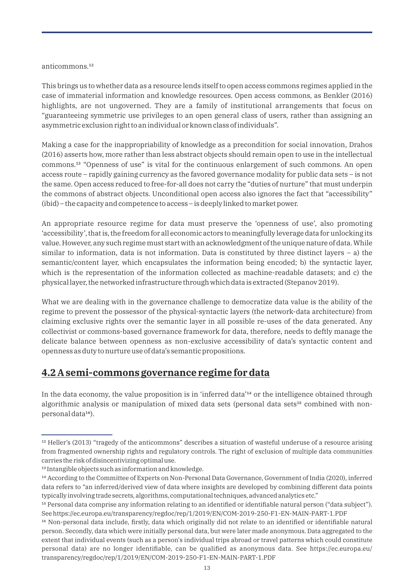#### $anticommons.<sup>12</sup>$

This brings us to whether data as a resource lends itself to open access commons regimes applied in the case of immaterial information and knowledge resources. Open access commons, as Benkler (2016) highlights, are not ungoverned. They are a family of institutional arrangements that focus on "guaranteeing symmetric use privileges to an open general class of users, rather than assigning an asymmetric exclusion right to an individual or known class of individuals".

Making a case for the inappropriability of knowledge as a precondition for social innovation, Drahos (2016) asserts how, more rather than less abstract objects should remain open to use in the intellectual commons.<sup>13</sup> "Openness of use" is vital for the continuous enlargement of such commons. An open access route – rapidly gaining currency as the favored governance modality for public data sets – is not the same. Open access reduced to free-for-all does not carry the "duties of nurture" that must underpin the commons of abstract objects. Unconditional open access also ignores the fact that "accessibility" (ibid) – the capacity and competence to access – is deeply linked to market power.

An appropriate resource regime for data must preserve the 'openness of use', also promoting 'accessibility', that is, the freedom for all economic actors to meaningfully leverage data for unlocking its value. However, any such regime must start with an acknowledgment of the unique nature of data. While similar to information, data is not information. Data is constituted by three distinct layers  $-$  a) the semantic/content layer, which encapsulates the information being encoded; b) the syntactic layer, which is the representation of the information collected as machine-readable datasets; and c) the physical layer, the networked infrastructure through which data is extracted (Stepanov 2019).

What we are dealing with in the governance challenge to democratize data value is the ability of the regime to prevent the possessor of the physical-syntactic layers (the network-data architecture) from claiming exclusive rights over the semantic layer in all possible re-uses of the data generated. Any collectivist or commons-based governance framework for data, therefore, needs to deftly manage the delicate balance between openness as non-exclusive accessibility of data's syntactic content and openness as duty to nurture use of data's semantic propositions.

### **4.2 A semi-commons governance regime for data**

In the data economy, the value proposition is in 'inferred data'<sup>14</sup> or the intelligence obtained through algorithmic analysis or manipulation of mixed data sets (personal data sets $15$  combined with nonpersonal data<sup>16</sup>).

<sup>&</sup>lt;sup>12</sup> Heller's (2013) "tragedy of the anticommons" describes a situation of wasteful underuse of a resource arising from fragmented ownership rights and regulatory controls. The right of exclusion of multiple data communities carries the risk of disincentivizing optimal use.

<sup>&</sup>lt;sup>13</sup> Intangible objects such as information and knowledge.

<sup>&</sup>lt;sup>14</sup> According to the Committee of Experts on Non-Personal Data Governance, Government of India (2020), inferred data refers to "an inferred/derived view of data where insights are developed by combining different data points typically involving trade secrets, algorithms, computational techniques, advanced analytics etc."

<sup>&</sup>lt;sup>15</sup> Personal data comprise any information relating to an identified or identifiable natural person ("data subject"). See https://ec.europa.eu/transparency/regdoc/rep/1/2019/EN/COM-2019-250-F1-EN-MAIN-PART-1.PDF

<sup>&</sup>lt;sup>16</sup> Non-personal data include, firstly, data which originally did not relate to an identified or identifiable natural person. Secondly, data which were initially personal data, but were later made anonymous. Data aggregated to the extent that individual events (such as a person's individual trips abroad or travel patterns which could constitute personal data) are no longer identifiable, can be qualified as anonymous data. See https://ec.europa.eu/ transparency/regdoc/rep/1/2019/EN/COM-2019-250-F1-EN-MAIN-PART-1.PDF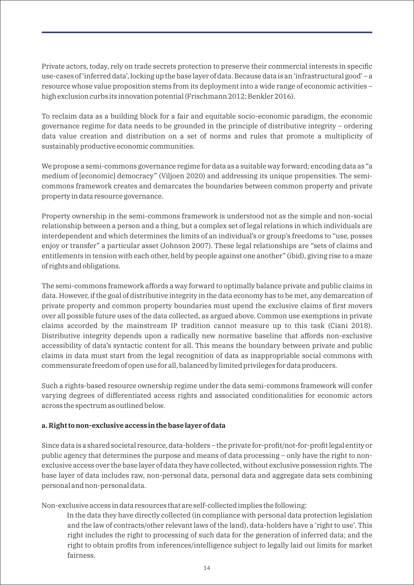Private actors, today, rely on trade secrets protection to preserve their commercial interests in specific use-cases of 'inferred data', locking up the base layer of data. Because data is an 'infrastructural good' – a resource whose value proposition stems from its deployment into a wide range of economic activities – high exclusion curbs its innovation potential (Frischmann 2012; Benkler 2016).

To reclaim data as a building block for a fair and equitable socio-economic paradigm, the economic governance regime for data needs to be grounded in the principle of distributive integrity – ordering data value creation and distribution on a set of norms and rules that promote a multiplicity of sustainably productive economic communities.

We propose a semi-commons governance regime for data as a suitable way forward; encoding data as "a medium of [economic] democracy" (Viljoen 2020) and addressing its unique propensities. The semicommons framework creates and demarcates the boundaries between common property and private property in data resource governance.

Property ownership in the semi-commons framework is understood not as the simple and non-social relationship between a person and a thing, but a complex set of legal relations in which individuals are interdependent and which determines the limits of an individual's or group's freedoms to "use, posses enjoy or transfer" a particular asset (Johnson 2007). These legal relationships are "sets of claims and entitlements in tension with each other, held by people against one another" (ibid), giving rise to a maze of rights and obligations.

The semi-commons framework affords a way forward to optimally balance private and public claims in data. However, if the goal of distributive integrity in the data economy has to be met, any demarcation of private property and common property boundaries must upend the exclusive claims of first movers over all possible future uses of the data collected, as argued above. Common use exemptions in private claims accorded by the mainstream IP tradition cannot measure up to this task (Ciani 2018). Distributive integrity depends upon a radically new normative baseline that affords non-exclusive accessibility of data's syntactic content for all. This means the boundary between private and public claims in data must start from the legal recognition of data as inappropriable social commons with commensurate freedom of open use for all, balanced by limited privileges for data producers.

Such a rights-based resource ownership regime under the data semi-commons framework will confer varying degrees of differentiated access rights and associated conditionalities for economic actors across the spectrum as outlined below.

#### **a. Right to non-exclusive access in the base layer of data**

Since data is a shared societal resource, data-holders – the private for-profit/not-for-profit legal entity or public agency that determines the purpose and means of data processing – only have the right to nonexclusive access over the base layer of data they have collected, without exclusive possession rights. The base layer of data includes raw, non-personal data, personal data and aggregate data sets combining personal and non-personal data.

Non-exclusive access in data resources that are self-collected implies the following:

In the data they have directly collected (in compliance with personal data protection legislation and the law of contracts/other relevant laws of the land), data-holders have a 'right to use'. This right includes the right to processing of such data for the generation of inferred data; and the right to obtain profits from inferences/intelligence subject to legally laid out limits for market fairness.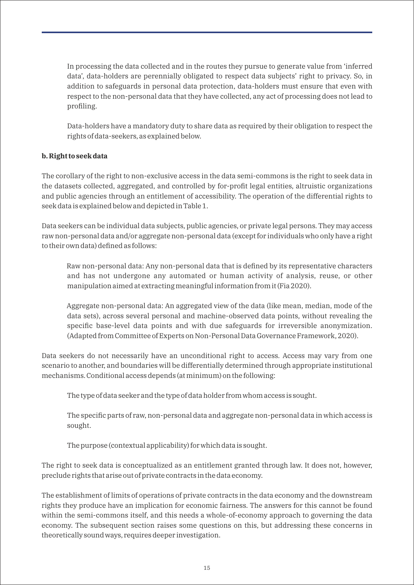In processing the data collected and in the routes they pursue to generate value from 'inferred data', data-holders are perennially obligated to respect data subjects' right to privacy. So, in addition to safeguards in personal data protection, data-holders must ensure that even with respect to the non-personal data that they have collected, any act of processing does not lead to profiling.

Data-holders have a mandatory duty to share data as required by their obligation to respect the rights of data-seekers, as explained below.

#### **b. Right to seek data**

The corollary of the right to non-exclusive access in the data semi-commons is the right to seek data in the datasets collected, aggregated, and controlled by for-profit legal entities, altruistic organizations and public agencies through an entitlement of accessibility. The operation of the differential rights to seek data is explained below and depicted in Table 1.

Data seekers can be individual data subjects, public agencies, or private legal persons. They may access raw non-personal data and/or aggregate non-personal data (except for individuals who only have a right to their own data) defined as follows:

Raw non-personal data: Any non-personal data that is defined by its representative characters and has not undergone any automated or human activity of analysis, reuse, or other manipulation aimed at extracting meaningful information from it (Fia 2020).

Aggregate non-personal data: An aggregated view of the data (like mean, median, mode of the data sets), across several personal and machine-observed data points, without revealing the specific base-level data points and with due safeguards for irreversible anonymization. (Adapted from Committee of Experts on Non-Personal Data Governance Framework, 2020).

Data seekers do not necessarily have an unconditional right to access. Access may vary from one scenario to another, and boundaries will be differentially determined through appropriate institutional mechanisms. Conditional access depends (at minimum) on the following:

The type of data seeker and the type of data holder from whom access is sought.

The specific parts of raw, non-personal data and aggregate non-personal data in which access is sought.

The purpose (contextual applicability) for which data is sought.

The right to seek data is conceptualized as an entitlement granted through law. It does not, however, preclude rights that arise out of private contracts in the data economy.

The establishment of limits of operations of private contracts in the data economy and the downstream rights they produce have an implication for economic fairness. The answers for this cannot be found within the semi-commons itself, and this needs a whole-of-economy approach to governing the data economy. The subsequent section raises some questions on this, but addressing these concerns in theoretically sound ways, requires deeper investigation.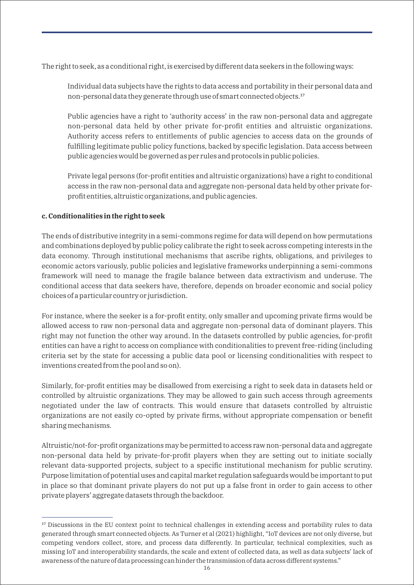The right to seek, as a conditional right, is exercised by different data seekers in the following ways:

Individual data subjects have the rights to data access and portability in their personal data and non-personal data they generate through use of smart connected objects.<sup>17</sup>

Public agencies have a right to 'authority access' in the raw non-personal data and aggregate non-personal data held by other private for-profit entities and altruistic organizations. Authority access refers to entitlements of public agencies to access data on the grounds of fulfilling legitimate public policy functions, backed by specific legislation. Data access between public agencies would be governed as per rules and protocols in public policies.

Private legal persons (for-profit entities and altruistic organizations) have a right to conditional access in the raw non-personal data and aggregate non-personal data held by other private forprofit entities, altruistic organizations, and public agencies.

#### **c. Conditionalities in the right to seek**

The ends of distributive integrity in a semi-commons regime for data will depend on how permutations and combinations deployed by public policy calibrate the right to seek across competing interests in the data economy. Through institutional mechanisms that ascribe rights, obligations, and privileges to economic actors variously, public policies and legislative frameworks underpinning a semi-commons framework will need to manage the fragile balance between data extractivism and underuse. The conditional access that data seekers have, therefore, depends on broader economic and social policy choices of a particular country or jurisdiction.

For instance, where the seeker is a for-profit entity, only smaller and upcoming private firms would be allowed access to raw non-personal data and aggregate non-personal data of dominant players. This right may not function the other way around. In the datasets controlled by public agencies, for-profit entities can have a right to access on compliance with conditionalities to prevent free-riding (including criteria set by the state for accessing a public data pool or licensing conditionalities with respect to inventions created from the pool and so on).

Similarly, for-profit entities may be disallowed from exercising a right to seek data in datasets held or controlled by altruistic organizations. They may be allowed to gain such access through agreements negotiated under the law of contracts. This would ensure that datasets controlled by altruistic organizations are not easily co-opted by private firms, without appropriate compensation or benefit sharing mechanisms.

Altruistic/not-for-profit organizations may be permitted to access raw non-personal data and aggregate non-personal data held by private-for-profit players when they are setting out to initiate socially relevant data-supported projects, subject to a specific institutional mechanism for public scrutiny. Purpose limitation of potential uses and capital market regulation safeguards would be important to put in place so that dominant private players do not put up a false front in order to gain access to other private players' aggregate datasets through the backdoor.

<sup>&</sup>lt;sup>17</sup> Discussions in the EU context point to technical challenges in extending access and portability rules to data generated through smart connected objects. As Turner et al (2021) highlight, "IoT devices are not only diverse, but competing vendors collect, store, and process data differently. In particular, technical complexities, such as missing IoT and interoperability standards, the scale and extent of collected data, as well as data subjects' lack of awareness of the nature of data processing can hinder the transmission of data across different systems."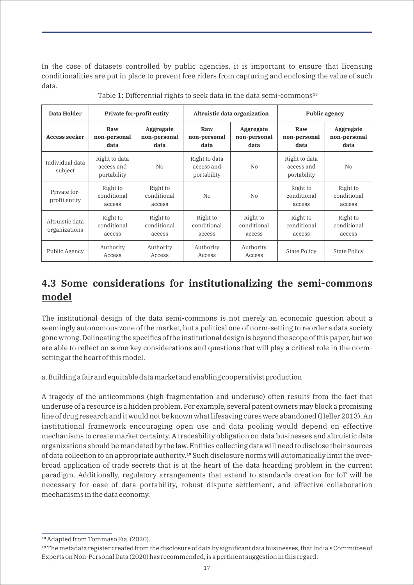In the case of datasets controlled by public agencies, it is important to ensure that licensing conditionalities are put in place to prevent free riders from capturing and enclosing the value of such data.

| Data Holder                      | <b>Private for-profit entity</b>           |                                   | Altruistic data organization               |                                   | <b>Public agency</b>                       |                                   |
|----------------------------------|--------------------------------------------|-----------------------------------|--------------------------------------------|-----------------------------------|--------------------------------------------|-----------------------------------|
| <b>Access seeker</b>             | Raw<br>non-personal<br>data                | Aggregate<br>non-personal<br>data | Raw<br>non-personal<br>data                | Aggregate<br>non-personal<br>data | Raw<br>non-personal<br>data                | Aggregate<br>non-personal<br>data |
| Individual data<br>subject       | Right to data<br>access and<br>portability | N <sub>0</sub>                    | Right to data<br>access and<br>portability | N <sub>0</sub>                    | Right to data<br>access and<br>portability | N <sub>0</sub>                    |
| Private for-<br>profit entity    | Right to<br>conditional<br>access          | Right to<br>conditional<br>access | N <sub>0</sub>                             | N <sub>0</sub>                    | Right to<br>conditional<br>access          | Right to<br>conditional<br>access |
| Altruistic data<br>organizations | Right to<br>conditional<br>access          | Right to<br>conditional<br>access | Right to<br>conditional<br>access          | Right to<br>conditional<br>access | Right to<br>conditional<br>access          | Right to<br>conditional<br>access |
| Public Agency                    | Authority<br>Access                        | Authority<br>Access               | Authority<br>Access                        | Authority<br>Access               | <b>State Policy</b>                        | <b>State Policy</b>               |

Table 1: Differential rights to seek data in the data semi-commons<sup>18</sup>

## **4.3 Some considerations for institutionalizing the semi-commons model**

The institutional design of the data semi-commons is not merely an economic question about a seemingly autonomous zone of the market, but a political one of norm-setting to reorder a data society gone wrong. Delineating the specifics of the institutional design is beyond the scope of this paper, but we are able to reflect on some key considerations and questions that will play a critical role in the normsetting at the heart of this model.

a. Building a fair and equitable data market and enabling cooperativist production

A tragedy of the anticommons (high fragmentation and underuse) often results from the fact that underuse of a resource is a hidden problem. For example, several patent owners may block a promising line of drug research and it would not be known what lifesaving cures were abandoned (Heller 2013). An institutional framework encouraging open use and data pooling would depend on effective mechanisms to create market certainty. A traceability obligation on data businesses and altruistic data organizations should be mandated by the law. Entities collecting data will need to disclose their sources of data collection to an appropriate authority.<sup>19</sup> Such disclosure norms will automatically limit the overbroad application of trade secrets that is at the heart of the data hoarding problem in the current paradigm. Additionally, regulatory arrangements that extend to standards creation for IoT will be necessary for ease of data portability, robust dispute settlement, and effective collaboration mechanisms in the data economy.

<sup>&</sup>lt;sup>18</sup> Adapted from Tommaso Fia. (2020).

<sup>&</sup>lt;sup>19</sup> The metadata register created from the disclosure of data by significant data businesses, that India's Committee of Experts on Non-Personal Data (2020) has recommended, is a pertinent suggestion in this regard.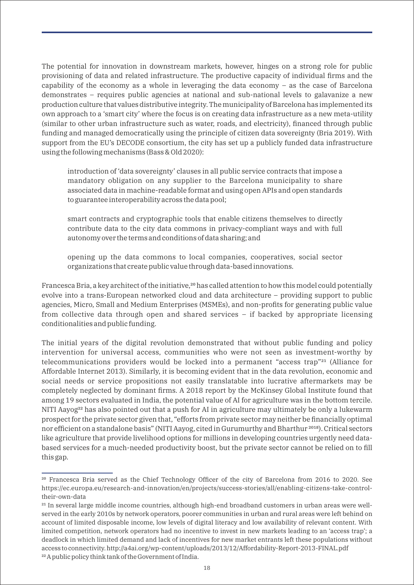The potential for innovation in downstream markets, however, hinges on a strong role for public provisioning of data and related infrastructure. The productive capacity of individual firms and the capability of the economy as a whole in leveraging the data economy – as the case of Barcelona demonstrates – requires public agencies at national and sub-national levels to galavanize a new production culture that values distributive integrity. The municipality of Barcelona has implemented its own approach to a 'smart city' where the focus is on creating data infrastructure as a new meta-utility (similar to other urban infrastructure such as water, roads, and electricity), financed through public funding and managed democratically using the principle of citizen data sovereignty (Bria 2019). With support from the EU's DECODE consortium, the city has set up a publicly funded data infrastructure using the following mechanisms (Bass & Old 2020):

introduction of 'data sovereignty' clauses in all public service contracts that impose a mandatory obligation on any supplier to the Barcelona municipality to share associated data in machine-readable format and using open APIs and open standards to guarantee interoperability across the data pool;

smart contracts and cryptographic tools that enable citizens themselves to directly contribute data to the city data commons in privacy-compliant ways and with full autonomy over the terms and conditions of data sharing; and

opening up the data commons to local companies, cooperatives, social sector organizations that create public value through data-based innovations.

Francesca Bria, a key architect of the initiative,<sup>20</sup> has called attention to how this model could potentially evolve into a trans-European networked cloud and data architecture – providing support to public agencies, Micro, Small and Medium Enterprises (MSMEs), and non-profits for generating public value from collective data through open and shared services – if backed by appropriate licensing conditionalities and public funding.

The initial years of the digital revolution demonstrated that without public funding and policy intervention for universal access, communities who were not seen as investment-worthy by telecommunications providers would be locked into a permanent "access trap"<sup>21</sup> (Alliance for Affordable Internet 2013). Similarly, it is becoming evident that in the data revolution, economic and social needs or service propositions not easily translatable into lucrative aftermarkets may be completely neglected by dominant firms. A 2018 report by the McKinsey Global Institute found that among 19 sectors evaluated in India, the potential value of AI for agriculture was in the bottom tercile. NITI Aayog<sup>22</sup> has also pointed out that a push for AI in agriculture may ultimately be only a lukewarm prospect for the private sector given that, "efforts from private sector may neither be financially optimal nor efficient on a standalone basis" (NITI Aayog, cited in Gurumurthy and Bharthur<sup>2018</sup>). Critical sectors like agriculture that provide livelihood options for millions in developing countries urgently need databased services for a much-needed productivity boost, but the private sector cannot be relied on to fill this gap.

<sup>&</sup>lt;sup>20</sup> Francesca Bria served as the Chief Technology Officer of the city of Barcelona from 2016 to 2020. See https://ec.europa.eu/research-and-innovation/en/projects/success-stories/all/enabling-citizens-take-controltheir-own-data

<sup>&</sup>lt;sup>21</sup> In several large middle income countries, although high-end broadband customers in urban areas were wellserved in the early 2010s by network operators, poorer communities in urban and rural areas were left behind on account of limited disposable income, low levels of digital literacy and low availability of relevant content. With limited competition, network operators had no incentive to invest in new markets leading to an 'access trap'; a deadlock in which limited demand and lack of incentives for new market entrants left these populations without access to connectivity. http://a4ai.org/wp-content/uploads/2013/12/Affordability-Report-2013-FINAL.pdf <sup>22</sup> A public policy think tank of the Government of India.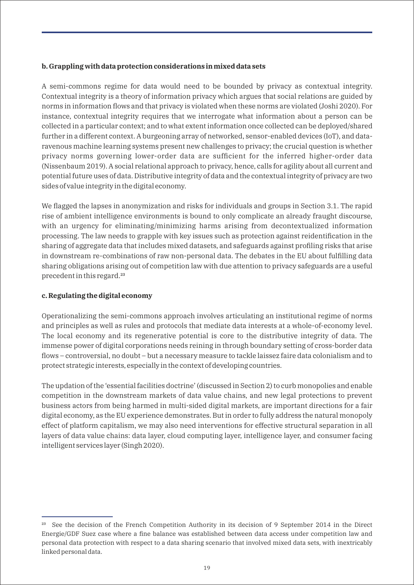#### **b. Grappling with data protection considerations in mixed data sets**

A semi-commons regime for data would need to be bounded by privacy as contextual integrity. Contextual integrity is a theory of information privacy which argues that social relations are guided by norms in information flows and that privacy is violated when these norms are violated (Joshi 2020). For instance, contextual integrity requires that we interrogate what information about a person can be collected in a particular context; and to what extent information once collected can be deployed/shared further in a different context. A burgeoning array of networked, sensor-enabled devices (IoT), and dataravenous machine learning systems present new challenges to privacy; the crucial question is whether privacy norms governing lower-order data are sufficient for the inferred higher-order data (Nissenbaum 2019). A social relational approach to privacy, hence, calls for agility about all current and potential future uses of data. Distributive integrity of data and the contextual integrity of privacy are two sides of value integrity in the digital economy.

We flagged the lapses in anonymization and risks for individuals and groups in Section 3.1. The rapid rise of ambient intelligence environments is bound to only complicate an already fraught discourse, with an urgency for eliminating/minimizing harms arising from decontextualized information processing. The law needs to grapple with key issues such as protection against reidentification in the sharing of aggregate data that includes mixed datasets, and safeguards against profiling risks that arise in downstream re-combinations of raw non-personal data. The debates in the EU about fulfilling data sharing obligations arising out of competition law with due attention to privacy safeguards are a useful precedent in this regard.²³

#### **c. Regulating the digital economy**

Operationalizing the semi-commons approach involves articulating an institutional regime of norms and principles as well as rules and protocols that mediate data interests at a whole-of-economy level. The local economy and its regenerative potential is core to the distributive integrity of data. The immense power of digital corporations needs reining in through boundary setting of cross-border data flows – controversial, no doubt – but a necessary measure to tackle laissez faire data colonialism and to protect strategic interests, especially in the context of developing countries.

The updation of the 'essential facilities doctrine' (discussed in Section 2) to curb monopolies and enable competition in the downstream markets of data value chains, and new legal protections to prevent business actors from being harmed in multi-sided digital markets, are important directions for a fair digital economy, as the EU experience demonstrates. But in order to fully address the natural monopoly effect of platform capitalism, we may also need interventions for effective structural separation in all layers of data value chains: data layer, cloud computing layer, intelligence layer, and consumer facing intelligent services layer (Singh 2020).

<sup>&</sup>lt;sup>23</sup> See the decision of the French Competition Authority in its decision of 9 September 2014 in the Direct Energie/GDF Suez case where a fine balance was established between data access under competition law and personal data protection with respect to a data sharing scenario that involved mixed data sets, with inextricably linked personal data.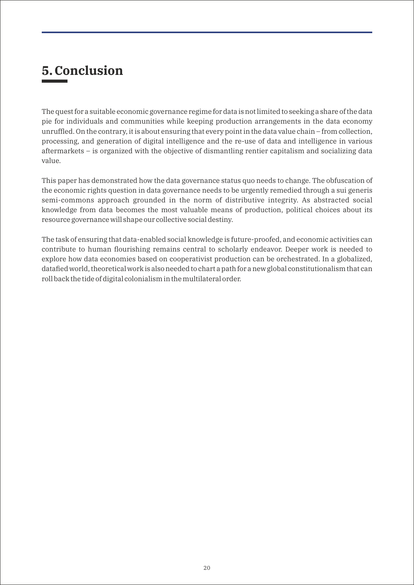## **5. Conclusion**

The quest for a suitable economic governance regime for data is not limited to seeking a share of the data pie for individuals and communities while keeping production arrangements in the data economy unruffled. On the contrary, it is about ensuring that every point in the data value chain – from collection, processing, and generation of digital intelligence and the re-use of data and intelligence in various aftermarkets – is organized with the objective of dismantling rentier capitalism and socializing data value.

This paper has demonstrated how the data governance status quo needs to change. The obfuscation of the economic rights question in data governance needs to be urgently remedied through a sui generis semi-commons approach grounded in the norm of distributive integrity. As abstracted social knowledge from data becomes the most valuable means of production, political choices about its resource governance will shape our collective social destiny.

The task of ensuring that data-enabled social knowledge is future-proofed, and economic activities can contribute to human flourishing remains central to scholarly endeavor. Deeper work is needed to explore how data economies based on cooperativist production can be orchestrated. In a globalized, datafied world, theoretical work is also needed to chart a path for a new global constitutionalism that can roll back the tide of digital colonialism in the multilateral order.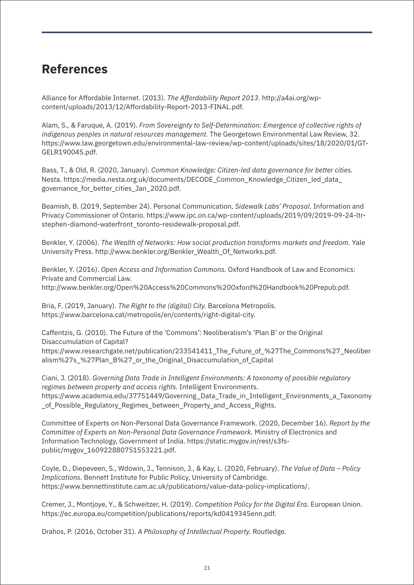## **References**

Alliance for Affordable Internet. (2013). *The Affordability Report 2013*. http://a4ai.org/wpcontent/uploads/2013/12/Affordability-Report-2013-FINAL.pdf.

Alam, S., & Faruque, A. (2019). *From Sovereignty to Self-Determination: Emergence of collective rights of indigenous peoples in natural resources management.* The Georgetown Environmental Law Review, 32. https://www.law.georgetown.edu/environmental-law-review/wp-content/uploads/sites/18/2020/01/GT-GELR190045.pdf.

Bass, T., & Old, R. (2020, January). *Common Knowledge: Citizen-led data governance for better cities.*  Nesta. https://media.nesta.org.uk/documents/DECODE\_Common\_Knowledge\_Citizen\_led\_data\_ governance\_for\_better\_cities\_Jan\_2020.pdf.

Beamish, B. (2019, September 24). Personal Communication, *Sidewalk Labs' Proposal.* Information and Privacy Commissioner of Ontario. https://www.ipc.on.ca/wp-content/uploads/2019/09/2019-09-24-ltrstephen-diamond-waterfront\_toronto-residewalk-proposal.pdf.

Benkler, Y. (2006). *The Wealth of Networks: How social production transforms markets and freedom.* Yale University Press. http://www.benkler.org/Benkler\_Wealth\_Of\_Networks.pdf.

Benkler, Y. (2016). *Open Access and Information Commons.* Oxford Handbook of Law and Economics: Private and Commercial Law. http://www.benkler.org/Open%20Access%20Commons%20Oxford%20Handbook%20Prepub.pdf.

Bria, F. (2019, January). *The Right to the (digital) City.* Barcelona Metropolis. https://www.barcelona.cat/metropolis/en/contents/right-digital-city.

Caffentzis, G. (2010). The Future of the 'Commons': Neoliberalism's 'Plan B' or the Original Disaccumulation of Capital?

https://www.researchgate.net/publication/233541411\_The\_Future\_of\_%27The\_Commons%27\_Neoliber alism%27s\_%27Plan\_B%27\_or\_the\_Original\_Disaccumulation\_of\_Capital

Ciani, J. (2018). *Governing Data Trade in Intelligent Environments: A taxonomy of possible regulatory regimes between property and access rights.* Intelligent Environments. https://www.academia.edu/37751449/Governing\_Data\_Trade\_in\_Intelligent\_Environments\_a\_Taxonomy \_of\_Possible\_Regulatory\_Regimes\_between\_Property\_and\_Access\_Rights.

Committee of Experts on Non-Personal Data Governance Framework. (2020, December 16). *Report by the Committee of Experts on Non-Personal Data Governance Framework.* Ministry of Electronics and Information Technology, Government of India. https://static.mygov.in/rest/s3fspublic/mygov\_160922880751553221.pdf.

Coyle, D., Diepeveen, S., Wdowin, J., Tennison, J., & Kay, L. (2020, February). *The Value of Data – Policy Implications.* Bennett Institute for Public Policy, University of Cambridge. https://www.bennettinstitute.cam.ac.uk/publications/value-data-policy-implications/.

Cremer, J., Montjoye, Y., & Schweitzer, H. (2019). *Competition Policy for the Digital Era.* European Union. https://ec.europa.eu/competition/publications/reports/kd0419345enn.pdf.

Drahos, P. (2016, October 31). *A Philosophy of Intellectual Property.* Routledge.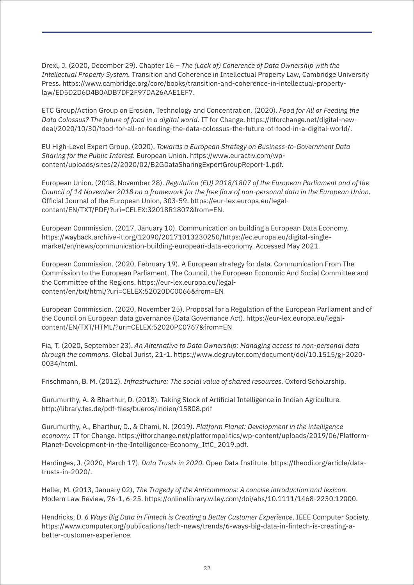Drexl, J. (2020, December 29). Chapter 16 – *The (Lack of) Coherence of Data Ownership with the Intellectual Property System.* Transition and Coherence in Intellectual Property Law, Cambridge University Press. https://www.cambridge.org/core/books/transition-and-coherence-in-intellectual-propertylaw/ED5D2D6D4B0ADB7DF2F97DA26AAE1EF7.

ETC Group/Action Group on Erosion, Technology and Concentration. (2020). *Food for All or Feeding the Data Colossus? The future of food in a digital world.* IT for Change. https://itforchange.net/digital-newdeal/2020/10/30/food-for-all-or-feeding-the-data-colossus-the-future-of-food-in-a-digital-world/.

EU High-Level Expert Group. (2020). *Towards a European Strategy on Business-to-Government Data Sharing for the Public Interest.* European Union. https://www.euractiv.com/wpcontent/uploads/sites/2/2020/02/B2GDataSharingExpertGroupReport-1.pdf.

European Union. (2018, November 28). *Regulation (EU) 2018/1807 of the European Parliament and of the Council of 14 November 2018 on a framework for the free flow of non-personal data in the European Union.* Official Journal of the European Union, 303-59. https://eur-lex.europa.eu/legalcontent/EN/TXT/PDF/?uri=CELEX:32018R1807&from=EN.

European Commission. (2017, January 10). Communication on building a European Data Economy. https://wayback.archive-it.org/12090/20171013230250/https://ec.europa.eu/digital-singlemarket/en/news/communication-building-european-data-economy. Accessed May 2021.

European Commission. (2020, February 19). A European strategy for data. Communication From The Commission to the European Parliament, The Council, the European Economic And Social Committee and the Committee of the Regions. https://eur-lex.europa.eu/legalcontent/en/txt/html/?uri=CELEX:52020DC0066&from=EN

European Commission. (2020, November 25). Proposal for a Regulation of the European Parliament and of the Council on European data governance (Data Governance Act). https://eur-lex.europa.eu/legalcontent/EN/TXT/HTML/?uri=CELEX:52020PC0767&from=EN

Fia, T. (2020, September 23). *An Alternative to Data Ownership: Managing access to non-personal data through the commons.* Global Jurist, 21-1. https://www.degruyter.com/document/doi/10.1515/gj-2020- 0034/html.

Frischmann, B. M. (2012). *Infrastructure: The social value of shared resources.* Oxford Scholarship.

Gurumurthy, A. & Bharthur, D. (2018). Taking Stock of Artificial Intelligence in Indian Agriculture. http://library.fes.de/pdf-files/bueros/indien/15808.pdf

Gurumurthy, A., Bharthur, D., & Chami, N. (2019). *Platform Planet: Development in the intelligence economy.* IT for Change. https://itforchange.net/platformpolitics/wp-content/uploads/2019/06/Platform-Planet-Development-in-the-Intelligence-Economy\_ItfC\_2019.pdf.

Hardinges, J. (2020, March 17). *Data Trusts in 2020.* Open Data Institute. https://theodi.org/article/datatrusts-in-2020/.

Heller, M. (2013, January 02), *The Tragedy of the Anticommons: A concise introduction and lexicon.*  Modern Law Review, 76-1, 6-25. https://onlinelibrary.wiley.com/doi/abs/10.1111/1468-2230.12000.

Hendricks, D. *6 Ways Big Data in Fintech is Creating a Better Customer Experience*. IEEE Computer Society. https://www.computer.org/publications/tech-news/trends/6-ways-big-data-in-fintech-is-creating-abetter-customer-experience.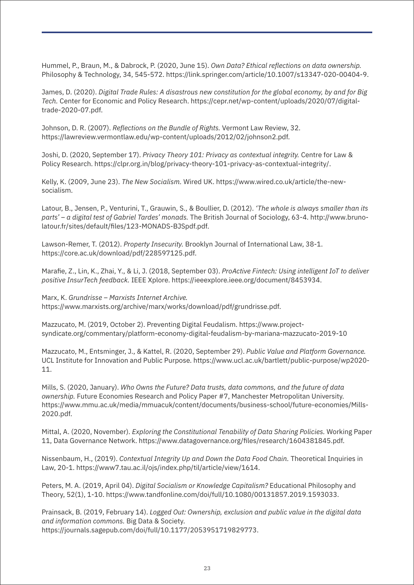Hummel, P., Braun, M., & Dabrock, P. (2020, June 15). *Own Data? Ethical reflections on data ownership.* Philosophy & Technology, 34, 545-572. https://link.springer.com/article/10.1007/s13347-020-00404-9.

James, D. (2020). *Digital Trade Rules: A disastrous new constitution for the global economy, by and for Big Tech.* Center for Economic and Policy Research. https://cepr.net/wp-content/uploads/2020/07/digitaltrade-2020-07.pdf.

Johnson, D. R. (2007). *Reflections on the Bundle of Rights.* Vermont Law Review, 32. https://lawreview.vermontlaw.edu/wp-content/uploads/2012/02/johnson2.pdf.

Joshi, D. (2020, September 17). *Privacy Theory 101: Privacy as contextual integrity.* Centre for Law & Policy Research. https://clpr.org.in/blog/privacy-theory-101-privacy-as-contextual-integrity/.

Kelly, K. (2009, June 23). *The New Socialism.* Wired UK. https://www.wired.co.uk/article/the-newsocialism.

Latour, B., Jensen, P., Venturini, T., Grauwin, S., & Boullier, D. (2012). *'The whole is always smaller than its parts' – a digital test of Gabriel Tardes' monads.* The British Journal of Sociology, 63-4. http://www.brunolatour.fr/sites/default/files/123-MONADS-BJSpdf.pdf.

Lawson-Remer, T. (2012). *Property Insecurity.* Brooklyn Journal of International Law, 38-1. https://core.ac.uk/download/pdf/228597125.pdf.

Marafie, Z., Lin, K., Zhai, Y., & Li, J. (2018, September 03). *ProActive Fintech: Using intelligent IoT to deliver positive InsurTech feedback.* IEEE Xplore. https://ieeexplore.ieee.org/document/8453934.

Marx, K. *Grundrisse – Marxists Internet Archive.*

https://www.marxists.org/archive/marx/works/download/pdf/grundrisse.pdf.

Mazzucato, M. (2019, October 2). Preventing Digital Feudalism. https://www.projectsyndicate.org/commentary/platform-economy-digital-feudalism-by-mariana-mazzucato-2019-10

Mazzucato, M., Entsminger, J., & Kattel, R. (2020, September 29). *Public Value and Platform Governance.*  UCL Institute for Innovation and Public Purpose. https://www.ucl.ac.uk/bartlett/public-purpose/wp2020- 11.

Mills, S. (2020, January). *Who Owns the Future? Data trusts, data commons, and the future of data ownership.* Future Economies Research and Policy Paper #7, Manchester Metropolitan University. https://www.mmu.ac.uk/media/mmuacuk/content/documents/business-school/future-economies/Mills-2020.pdf.

Mittal, A. (2020, November). *Exploring the Constitutional Tenability of Data Sharing Policies.* Working Paper 11, Data Governance Network. https://www.datagovernance.org/files/research/1604381845.pdf.

Nissenbaum, H., (2019). *Contextual Integrity Up and Down the Data Food Chain.* Theoretical Inquiries in Law, 20-1. https://www7.tau.ac.il/ojs/index.php/til/article/view/1614.

Peters, M. A. (2019, April 04). *Digital Socialism or Knowledge Capitalism?* Educational Philosophy and Theory, 52(1), 1-10. https://www.tandfonline.com/doi/full/10.1080/00131857.2019.1593033.

Prainsack, B. (2019, February 14). *Logged Out: Ownership, exclusion and public value in the digital data and information commons.* Big Data & Society. https://journals.sagepub.com/doi/full/10.1177/2053951719829773.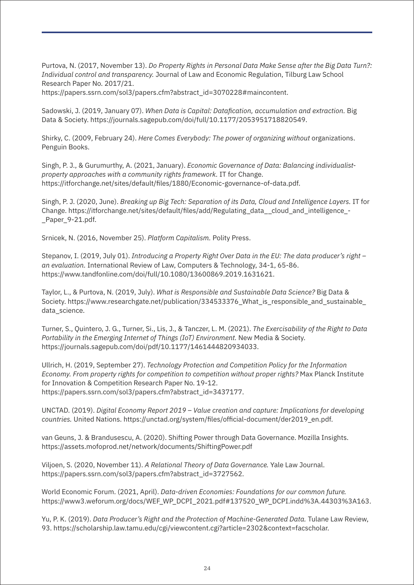Purtova, N. (2017, November 13). *Do Property Rights in Personal Data Make Sense after the Big Data Turn?: Individual control and transparency.* Journal of Law and Economic Regulation, Tilburg Law School Research Paper No. 2017/21.

https://papers.ssrn.com/sol3/papers.cfm?abstract\_id=3070228#maincontent.

Sadowski, J. (2019, January 07). *When Data is Capital: Datafication, accumulation and extraction.* Big Data & Society. https://journals.sagepub.com/doi/full/10.1177/2053951718820549.

Shirky, C. (2009, February 24). *Here Comes Everybody: The power of organizing without* organizations. Penguin Books.

Singh, P. J., & Gurumurthy, A. (2021, January). *Economic Governance of Data: Balancing individualistproperty approaches with a community rights framework.* IT for Change. https://itforchange.net/sites/default/files/1880/Economic-governance-of-data.pdf.

Singh, P. J. (2020, June). *Breaking up Big Tech: Separation of its Data, Cloud and Intelligence Layers.* IT for Change. https://itforchange.net/sites/default/files/add/Regulating\_data\_\_cloud\_and\_intelligence\_- Paper 9-21.pdf.

Srnicek, N. (2016, November 25). *Platform Capitalism.* Polity Press.

Stepanov, I. (2019, July 01). *Introducing a Property Right Over Data in the EU: The data producer's right – an evaluation.* International Review of Law, Computers & Technology, 34-1, 65-86. https://www.tandfonline.com/doi/full/10.1080/13600869.2019.1631621.

Taylor, L., & Purtova, N. (2019, July). *What is Responsible and Sustainable Data Science?* Big Data & Society. https://www.researchgate.net/publication/334533376 What is responsible and sustainable data\_science.

Turner, S., Quintero, J. G., Turner, Si., Lis, J., & Tanczer, L. M. (2021). *The Exercisability of the Right to Data Portability in the Emerging Internet of Things (IoT) Environment.* New Media & Society. https://journals.sagepub.com/doi/pdf/10.1177/1461444820934033.

Ullrich, H. (2019, September 27). *Technology Protection and Competition Policy for the Information Economy. From property rights for competition to competition without proper rights?* Max Planck Institute for Innovation & Competition Research Paper No. 19-12. https://papers.ssrn.com/sol3/papers.cfm?abstract\_id=3437177.

UNCTAD. (2019). *Digital Economy Report 2019 – Value creation and capture: Implications for developing countries.* United Nations. https://unctad.org/system/files/official-document/der2019\_en.pdf.

van Geuns, J. & Brandusescu, A. (2020). Shifting Power through Data Governance. Mozilla Insights. https://assets.mofoprod.net/network/documents/ShiftingPower.pdf

Viljoen, S. (2020, November 11). *A Relational Theory of Data Governance.* Yale Law Journal. https://papers.ssrn.com/sol3/papers.cfm?abstract\_id=3727562.

World Economic Forum. (2021, April). *Data-driven Economies: Foundations for our common future.*  https://www3.weforum.org/docs/WEF\_WP\_DCPI\_2021.pdf#137520\_WP\_DCPI.indd%3A.44303%3A163.

Yu, P. K. (2019). *Data Producer's Right and the Protection of Machine-Generated Data.* Tulane Law Review, 93. https://scholarship.law.tamu.edu/cgi/viewcontent.cgi?article=2302&context=facscholar.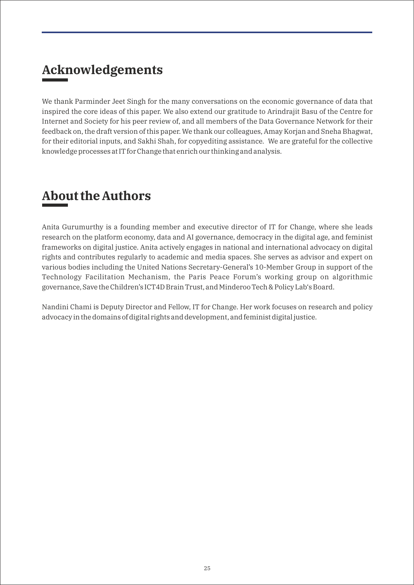## **Acknowledgements**

We thank Parminder Jeet Singh for the many conversations on the economic governance of data that inspired the core ideas of this paper. We also extend our gratitude to Arindrajit Basu of the Centre for Internet and Society for his peer review of, and all members of the Data Governance Network for their feedback on, the draft version of this paper. We thank our colleagues, Amay Korjan and Sneha Bhagwat, for their editorial inputs, and Sakhi Shah, for copyediting assistance. We are grateful for the collective knowledge processes at IT for Change that enrich our thinking and analysis.

## **About the Authors**

Anita Gurumurthy is a founding member and executive director of IT for Change, where she leads research on the platform economy, data and AI governance, democracy in the digital age, and feminist frameworks on digital justice. Anita actively engages in national and international advocacy on digital rights and contributes regularly to academic and media spaces. She serves as advisor and expert on various bodies including the United Nations Secretary-General's 10-Member Group in support of the Technology Facilitation Mechanism, the Paris Peace Forum's working group on algorithmic governance, Save the Children's ICT4D Brain Trust, and Minderoo Tech & Policy Lab's Board.

Nandini Chami is Deputy Director and Fellow, IT for Change. Her work focuses on research and policy advocacy in the domains of digital rights and development, and feminist digital justice.